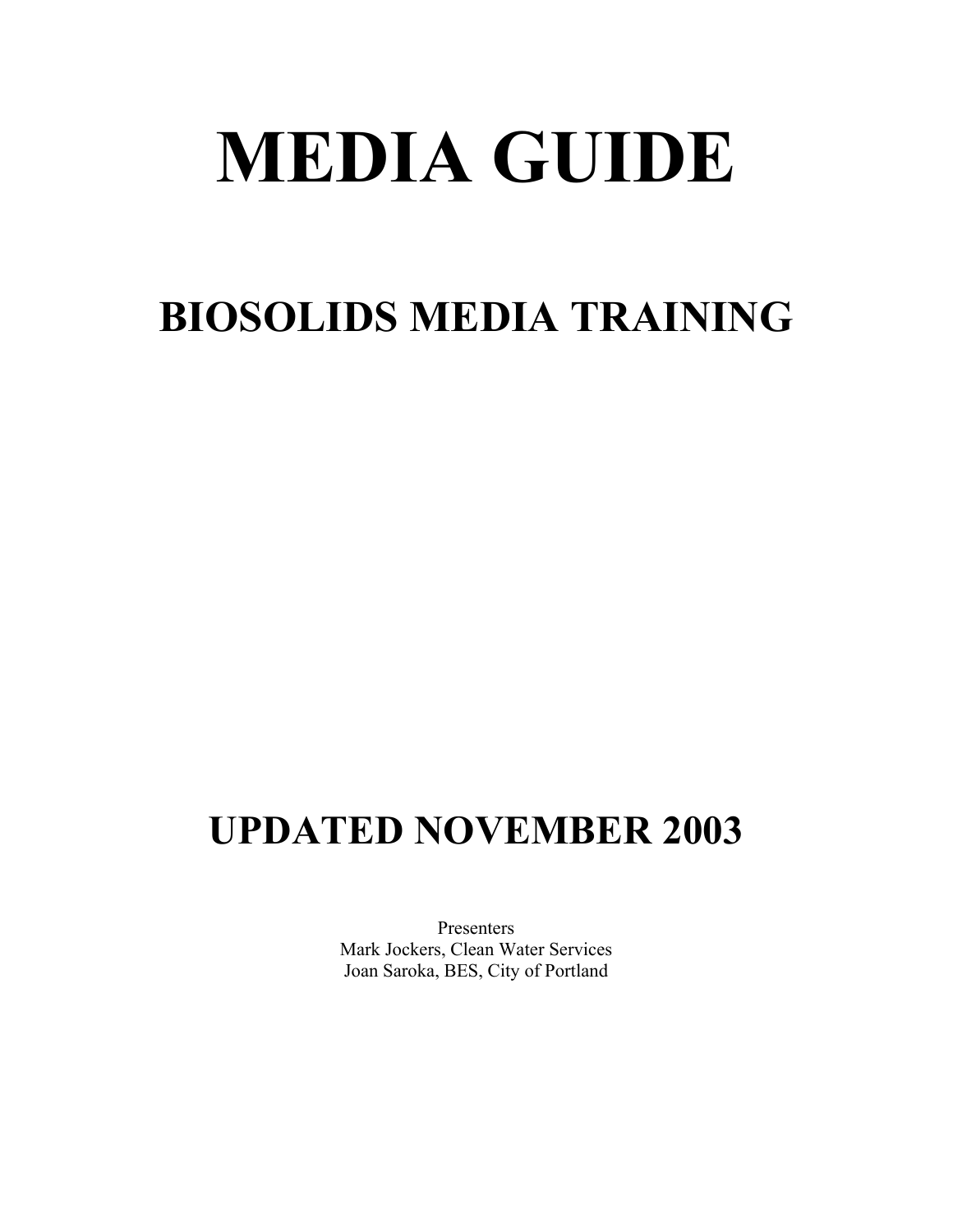# **MEDIA GUIDE**

# **BIOSOLIDS MEDIA TRAINING**

# **UPDATED NOVEMBER 2003**

Presenters Mark Jockers, Clean Water Services Joan Saroka, BES, City of Portland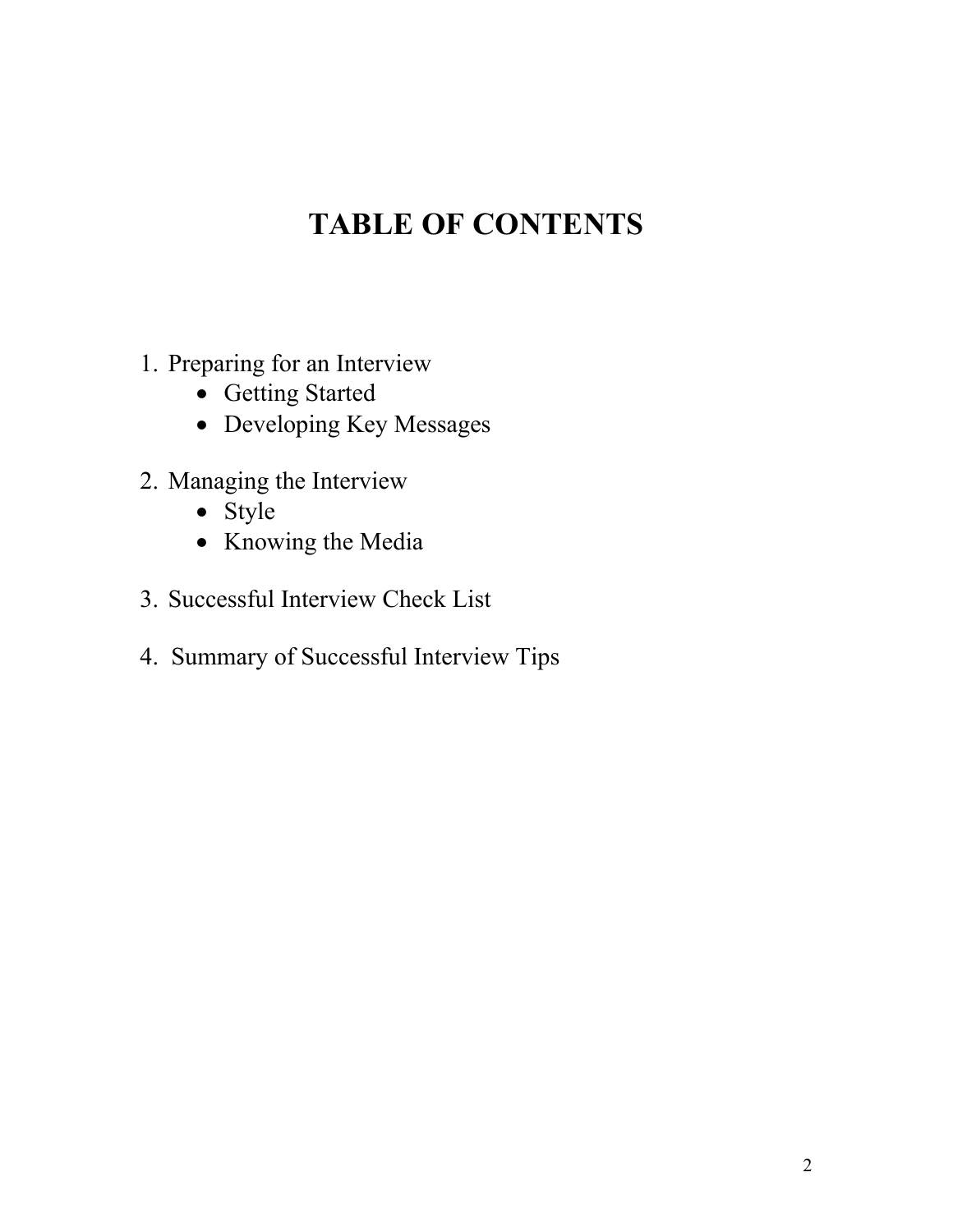# **TABLE OF CONTENTS**

- 1. Preparing for an Interview
	- Getting Started
	- Developing Key Messages
- 2. Managing the Interview
	- Style
	- Knowing the Media
- 3. Successful Interview Check List
- 4. Summary of Successful Interview Tips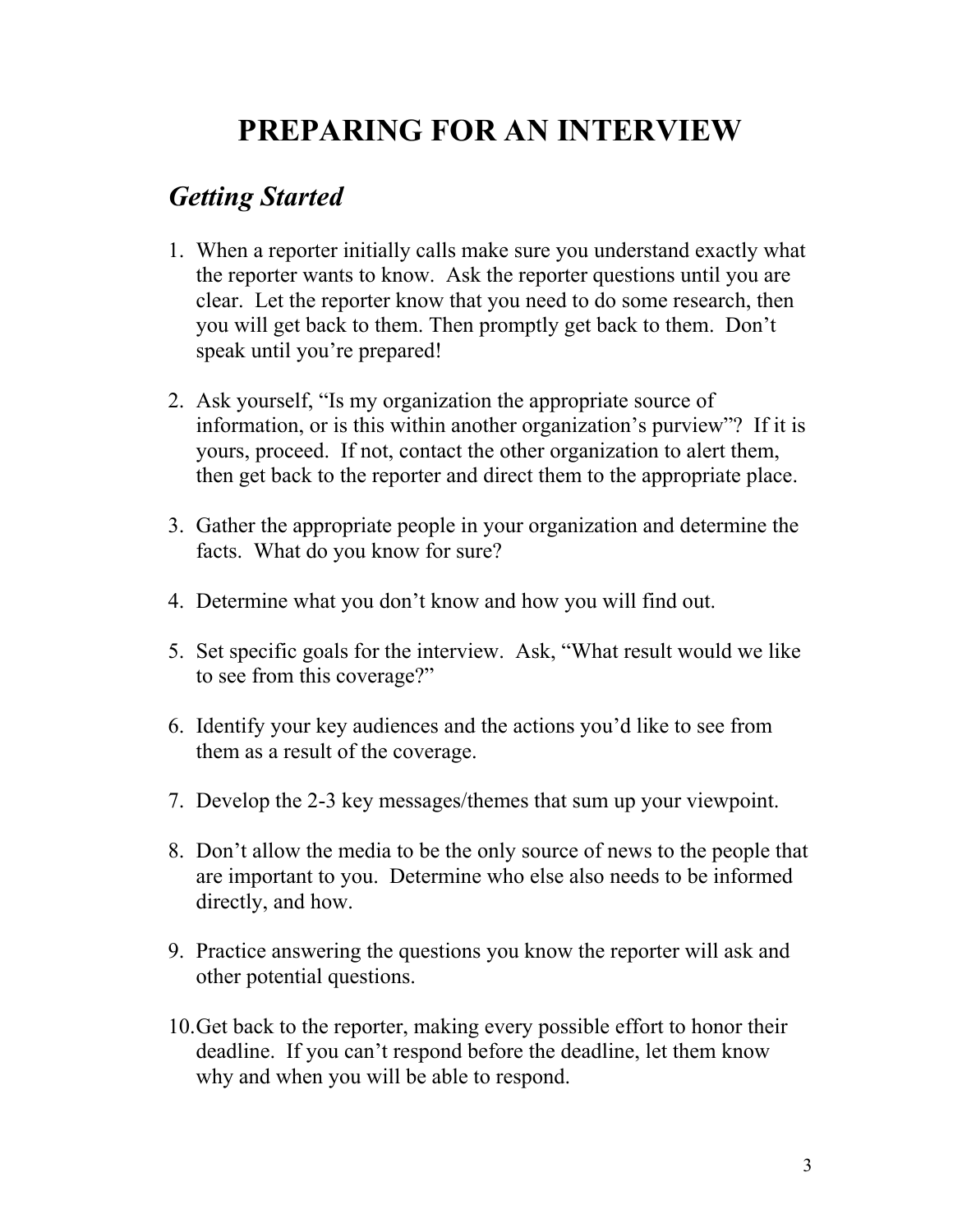# **PREPARING FOR AN INTERVIEW**

#### *Getting Started*

- 1. When a reporter initially calls make sure you understand exactly what the reporter wants to know. Ask the reporter questions until you are clear. Let the reporter know that you need to do some research, then you will get back to them. Then promptly get back to them. Don't speak until you're prepared!
- 2. Ask yourself, "Is my organization the appropriate source of information, or is this within another organization's purview"? If it is yours, proceed. If not, contact the other organization to alert them, then get back to the reporter and direct them to the appropriate place.
- 3. Gather the appropriate people in your organization and determine the facts. What do you know for sure?
- 4. Determine what you don't know and how you will find out.
- 5. Set specific goals for the interview. Ask, "What result would we like to see from this coverage?"
- 6. Identify your key audiences and the actions you'd like to see from them as a result of the coverage.
- 7. Develop the 2-3 key messages/themes that sum up your viewpoint.
- 8. Don't allow the media to be the only source of news to the people that are important to you. Determine who else also needs to be informed directly, and how.
- 9. Practice answering the questions you know the reporter will ask and other potential questions.
- 10.Get back to the reporter, making every possible effort to honor their deadline. If you can't respond before the deadline, let them know why and when you will be able to respond.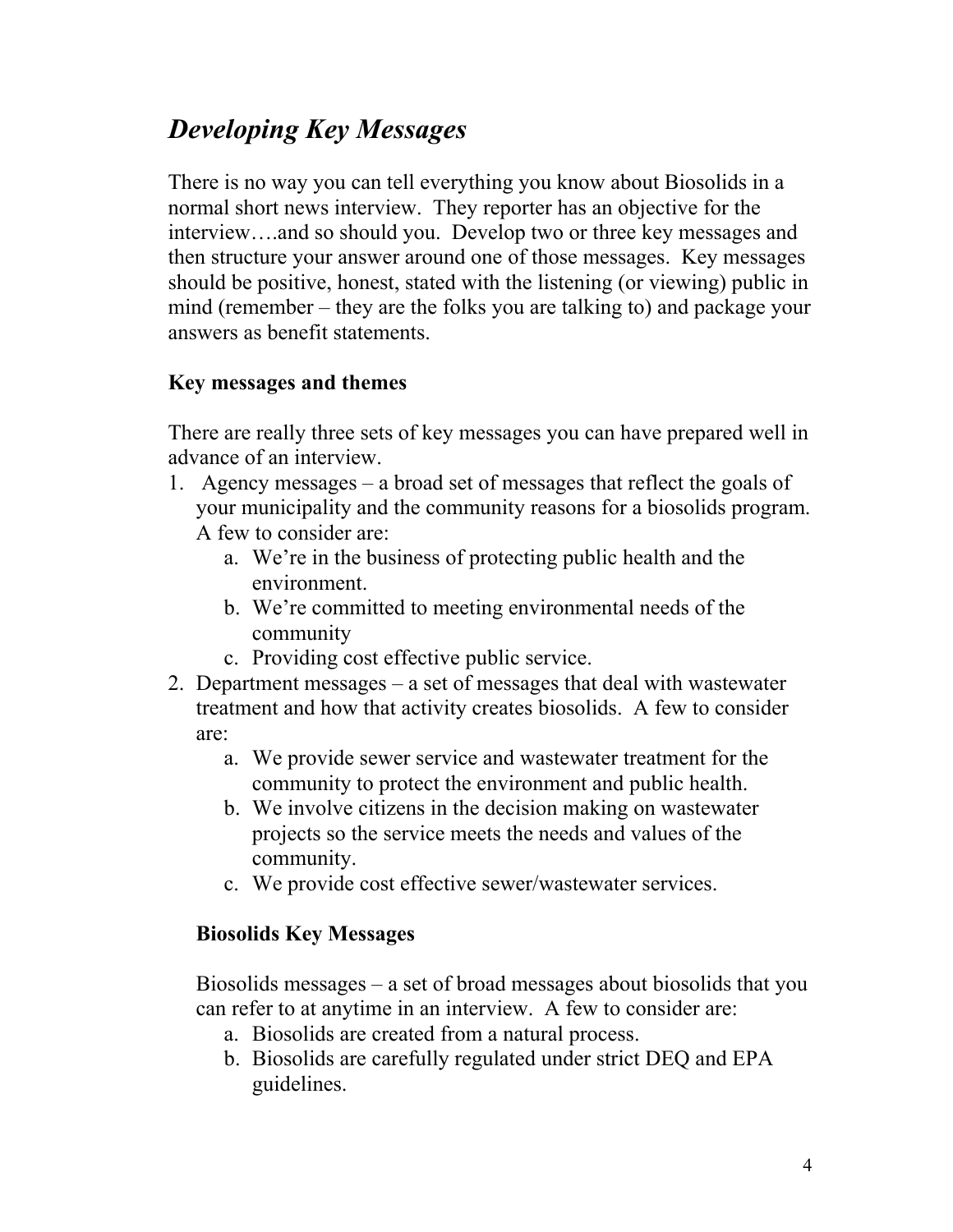### *Developing Key Messages*

There is no way you can tell everything you know about Biosolids in a normal short news interview. They reporter has an objective for the interview….and so should you. Develop two or three key messages and then structure your answer around one of those messages. Key messages should be positive, honest, stated with the listening (or viewing) public in mind (remember – they are the folks you are talking to) and package your answers as benefit statements.

#### **Key messages and themes**

There are really three sets of key messages you can have prepared well in advance of an interview.

- 1. Agency messages a broad set of messages that reflect the goals of your municipality and the community reasons for a biosolids program. A few to consider are:
	- a. We're in the business of protecting public health and the environment.
	- b. We're committed to meeting environmental needs of the community
	- c. Providing cost effective public service.
- 2. Department messages a set of messages that deal with wastewater treatment and how that activity creates biosolids. A few to consider are:
	- a. We provide sewer service and wastewater treatment for the community to protect the environment and public health.
	- b. We involve citizens in the decision making on wastewater projects so the service meets the needs and values of the community.
	- c. We provide cost effective sewer/wastewater services.

#### **Biosolids Key Messages**

Biosolids messages – a set of broad messages about biosolids that you can refer to at anytime in an interview. A few to consider are:

- a. Biosolids are created from a natural process.
- b. Biosolids are carefully regulated under strict DEQ and EPA guidelines.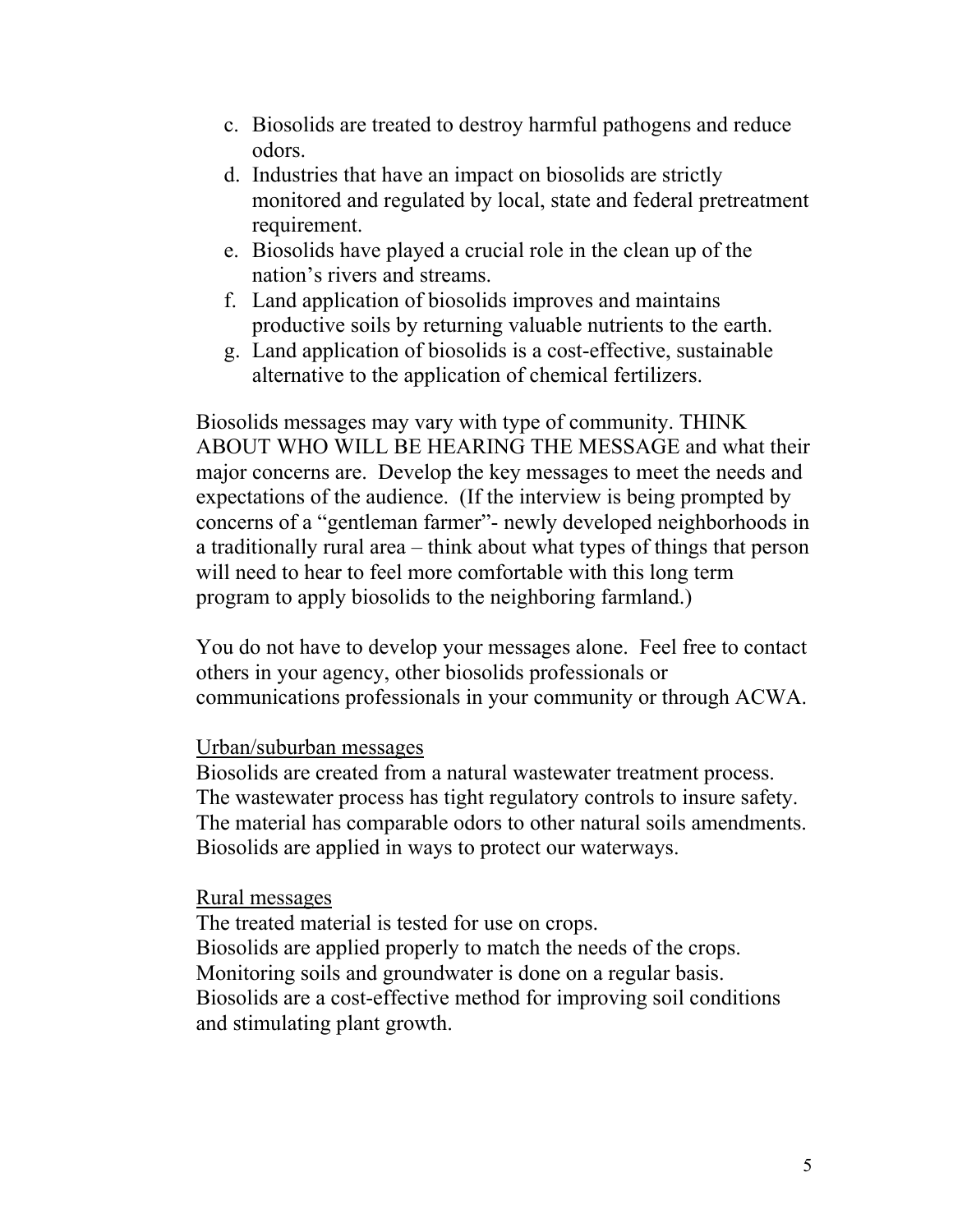- c. Biosolids are treated to destroy harmful pathogens and reduce odors.
- d. Industries that have an impact on biosolids are strictly monitored and regulated by local, state and federal pretreatment requirement.
- e. Biosolids have played a crucial role in the clean up of the nation's rivers and streams.
- f. Land application of biosolids improves and maintains productive soils by returning valuable nutrients to the earth.
- g. Land application of biosolids is a cost-effective, sustainable alternative to the application of chemical fertilizers.

Biosolids messages may vary with type of community. THINK ABOUT WHO WILL BE HEARING THE MESSAGE and what their major concerns are. Develop the key messages to meet the needs and expectations of the audience. (If the interview is being prompted by concerns of a "gentleman farmer"- newly developed neighborhoods in a traditionally rural area – think about what types of things that person will need to hear to feel more comfortable with this long term program to apply biosolids to the neighboring farmland.)

You do not have to develop your messages alone. Feel free to contact others in your agency, other biosolids professionals or communications professionals in your community or through ACWA.

#### Urban/suburban messages

Biosolids are created from a natural wastewater treatment process. The wastewater process has tight regulatory controls to insure safety. The material has comparable odors to other natural soils amendments. Biosolids are applied in ways to protect our waterways.

#### Rural messages

The treated material is tested for use on crops. Biosolids are applied properly to match the needs of the crops. Monitoring soils and groundwater is done on a regular basis. Biosolids are a cost-effective method for improving soil conditions and stimulating plant growth.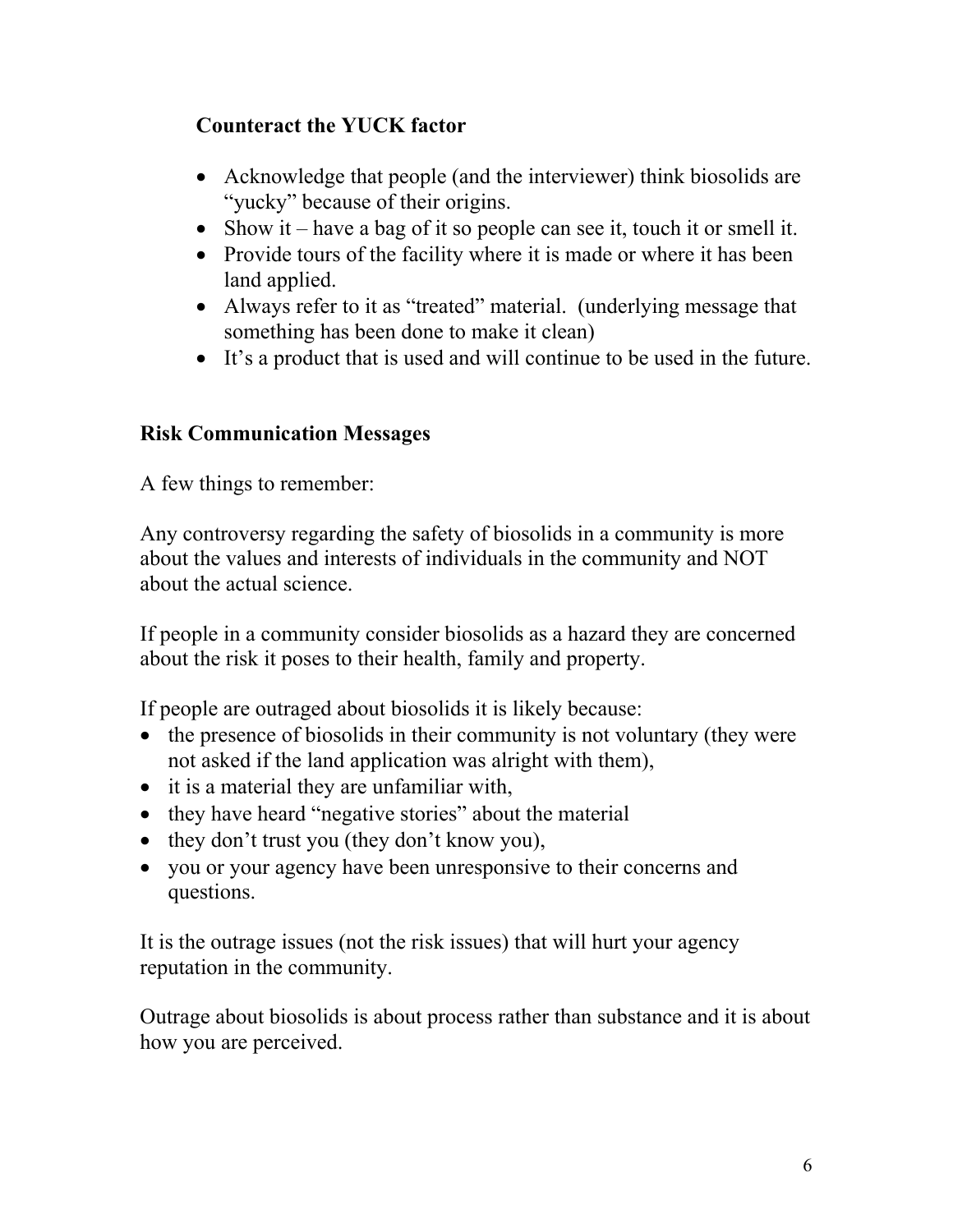#### **Counteract the YUCK factor**

- Acknowledge that people (and the interviewer) think biosolids are "yucky" because of their origins.
- Show it have a bag of it so people can see it, touch it or smell it.
- Provide tours of the facility where it is made or where it has been land applied.
- Always refer to it as "treated" material. (underlying message that something has been done to make it clean)
- It's a product that is used and will continue to be used in the future.

#### **Risk Communication Messages**

A few things to remember:

Any controversy regarding the safety of biosolids in a community is more about the values and interests of individuals in the community and NOT about the actual science.

If people in a community consider biosolids as a hazard they are concerned about the risk it poses to their health, family and property.

If people are outraged about biosolids it is likely because:

- the presence of biosolids in their community is not voluntary (they were not asked if the land application was alright with them),
- it is a material they are unfamiliar with,
- they have heard "negative stories" about the material
- they don't trust you (they don't know you),
- you or your agency have been unresponsive to their concerns and questions.

It is the outrage issues (not the risk issues) that will hurt your agency reputation in the community.

Outrage about biosolids is about process rather than substance and it is about how you are perceived.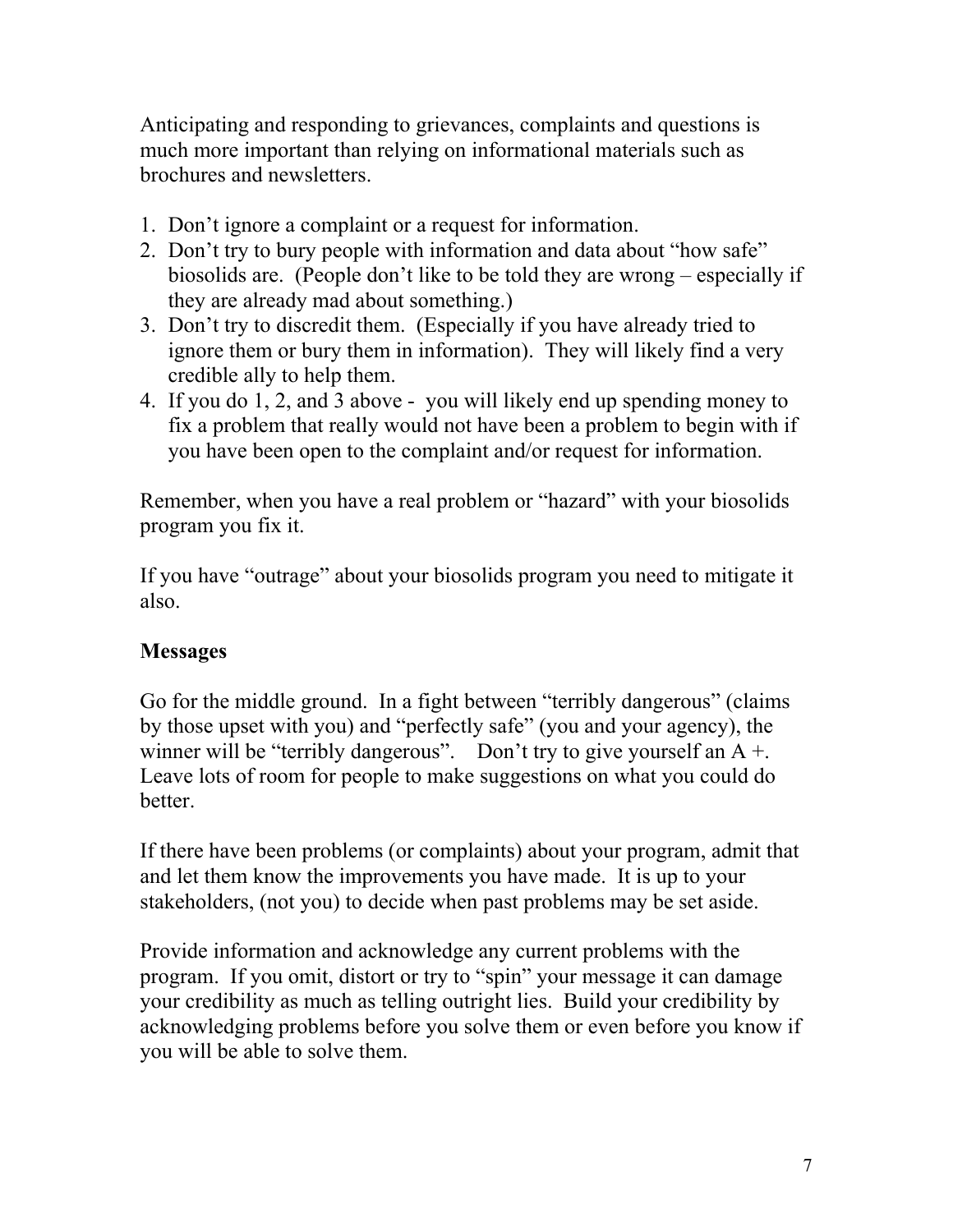Anticipating and responding to grievances, complaints and questions is much more important than relying on informational materials such as brochures and newsletters.

- 1. Don't ignore a complaint or a request for information.
- 2. Don't try to bury people with information and data about "how safe" biosolids are. (People don't like to be told they are wrong – especially if they are already mad about something.)
- 3. Don't try to discredit them. (Especially if you have already tried to ignore them or bury them in information). They will likely find a very credible ally to help them.
- 4. If you do 1, 2, and 3 above you will likely end up spending money to fix a problem that really would not have been a problem to begin with if you have been open to the complaint and/or request for information.

Remember, when you have a real problem or "hazard" with your biosolids program you fix it.

If you have "outrage" about your biosolids program you need to mitigate it also.

#### **Messages**

Go for the middle ground. In a fight between "terribly dangerous" (claims by those upset with you) and "perfectly safe" (you and your agency), the winner will be "terribly dangerous". Don't try to give yourself an  $A +$ . Leave lots of room for people to make suggestions on what you could do better.

If there have been problems (or complaints) about your program, admit that and let them know the improvements you have made. It is up to your stakeholders, (not you) to decide when past problems may be set aside.

Provide information and acknowledge any current problems with the program. If you omit, distort or try to "spin" your message it can damage your credibility as much as telling outright lies. Build your credibility by acknowledging problems before you solve them or even before you know if you will be able to solve them.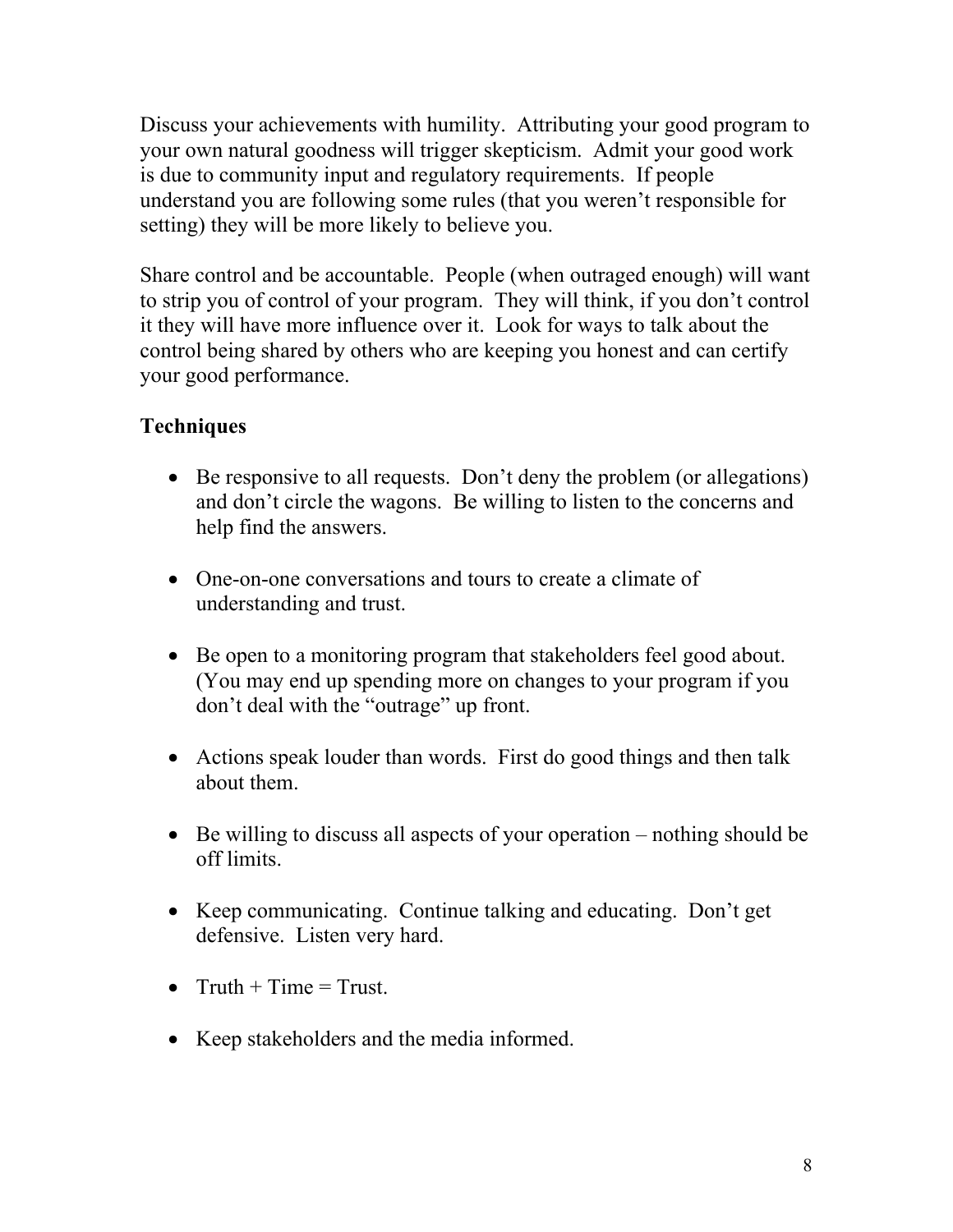Discuss your achievements with humility. Attributing your good program to your own natural goodness will trigger skepticism. Admit your good work is due to community input and regulatory requirements. If people understand you are following some rules (that you weren't responsible for setting) they will be more likely to believe you.

Share control and be accountable. People (when outraged enough) will want to strip you of control of your program. They will think, if you don't control it they will have more influence over it. Look for ways to talk about the control being shared by others who are keeping you honest and can certify your good performance.

#### **Techniques**

- Be responsive to all requests. Don't deny the problem (or allegations) and don't circle the wagons. Be willing to listen to the concerns and help find the answers.
- One-on-one conversations and tours to create a climate of understanding and trust.
- Be open to a monitoring program that stakeholders feel good about. (You may end up spending more on changes to your program if you don't deal with the "outrage" up front.
- Actions speak louder than words. First do good things and then talk about them.
- Be willing to discuss all aspects of your operation nothing should be off limits.
- Keep communicating. Continue talking and educating. Don't get defensive. Listen very hard.
- Truth  $+$  Time  $=$  Trust.
- Keep stakeholders and the media informed.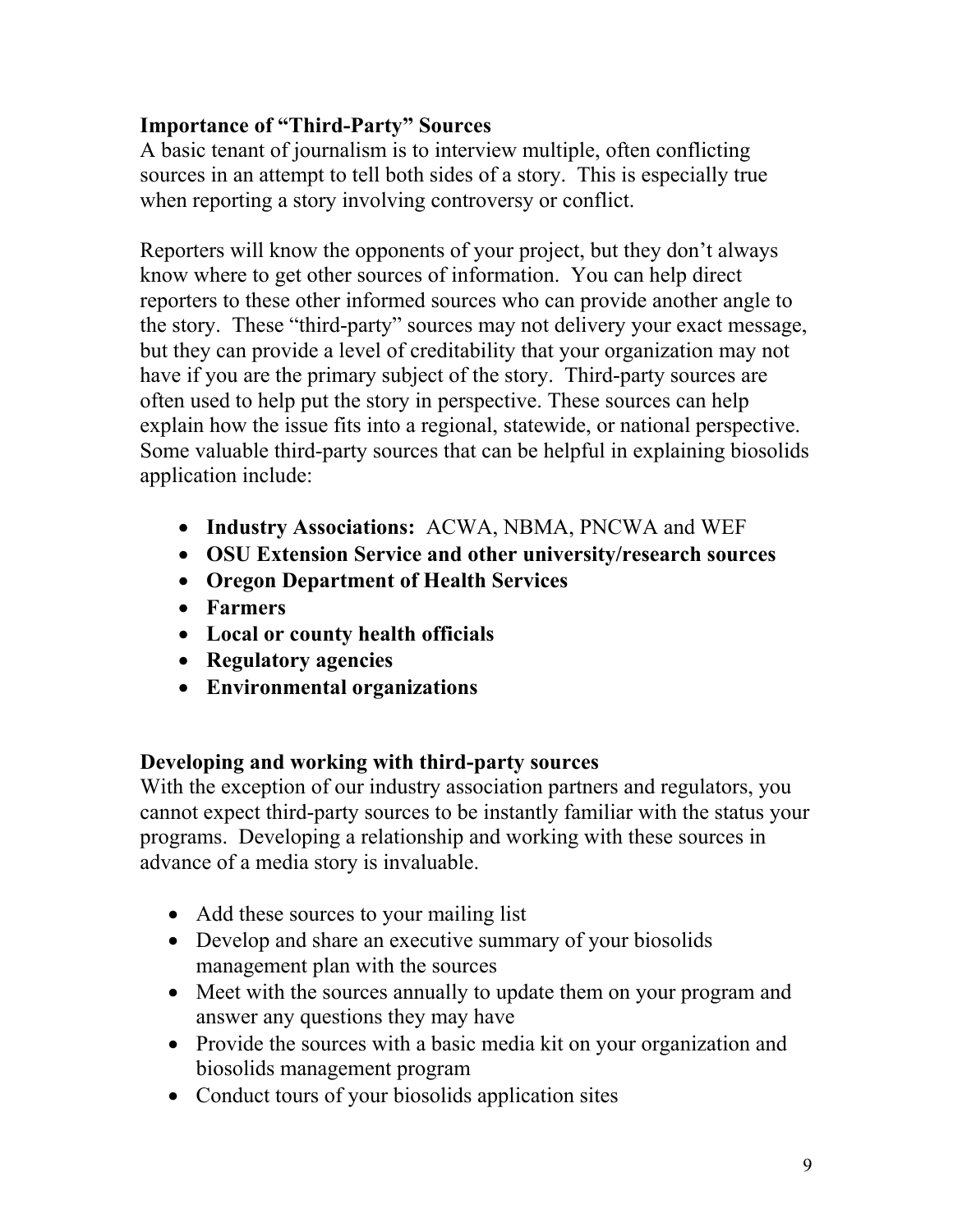#### **Importance of "Third-Party" Sources**

A basic tenant of journalism is to interview multiple, often conflicting sources in an attempt to tell both sides of a story. This is especially true when reporting a story involving controversy or conflict.

Reporters will know the opponents of your project, but they don't always know where to get other sources of information. You can help direct reporters to these other informed sources who can provide another angle to the story. These "third-party" sources may not delivery your exact message, but they can provide a level of creditability that your organization may not have if you are the primary subject of the story. Third-party sources are often used to help put the story in perspective. These sources can help explain how the issue fits into a regional, statewide, or national perspective. Some valuable third-party sources that can be helpful in explaining biosolids application include:

- **Industry Associations:** ACWA, NBMA, PNCWA and WEF
- **OSU Extension Service and other university/research sources**
- **Oregon Department of Health Services**
- **Farmers**
- **Local or county health officials**
- **Regulatory agencies**
- **Environmental organizations**

#### **Developing and working with third-party sources**

With the exception of our industry association partners and regulators, you cannot expect third-party sources to be instantly familiar with the status your programs. Developing a relationship and working with these sources in advance of a media story is invaluable.

- Add these sources to your mailing list
- Develop and share an executive summary of your biosolids management plan with the sources
- Meet with the sources annually to update them on your program and answer any questions they may have
- Provide the sources with a basic media kit on your organization and biosolids management program
- Conduct tours of your biosolids application sites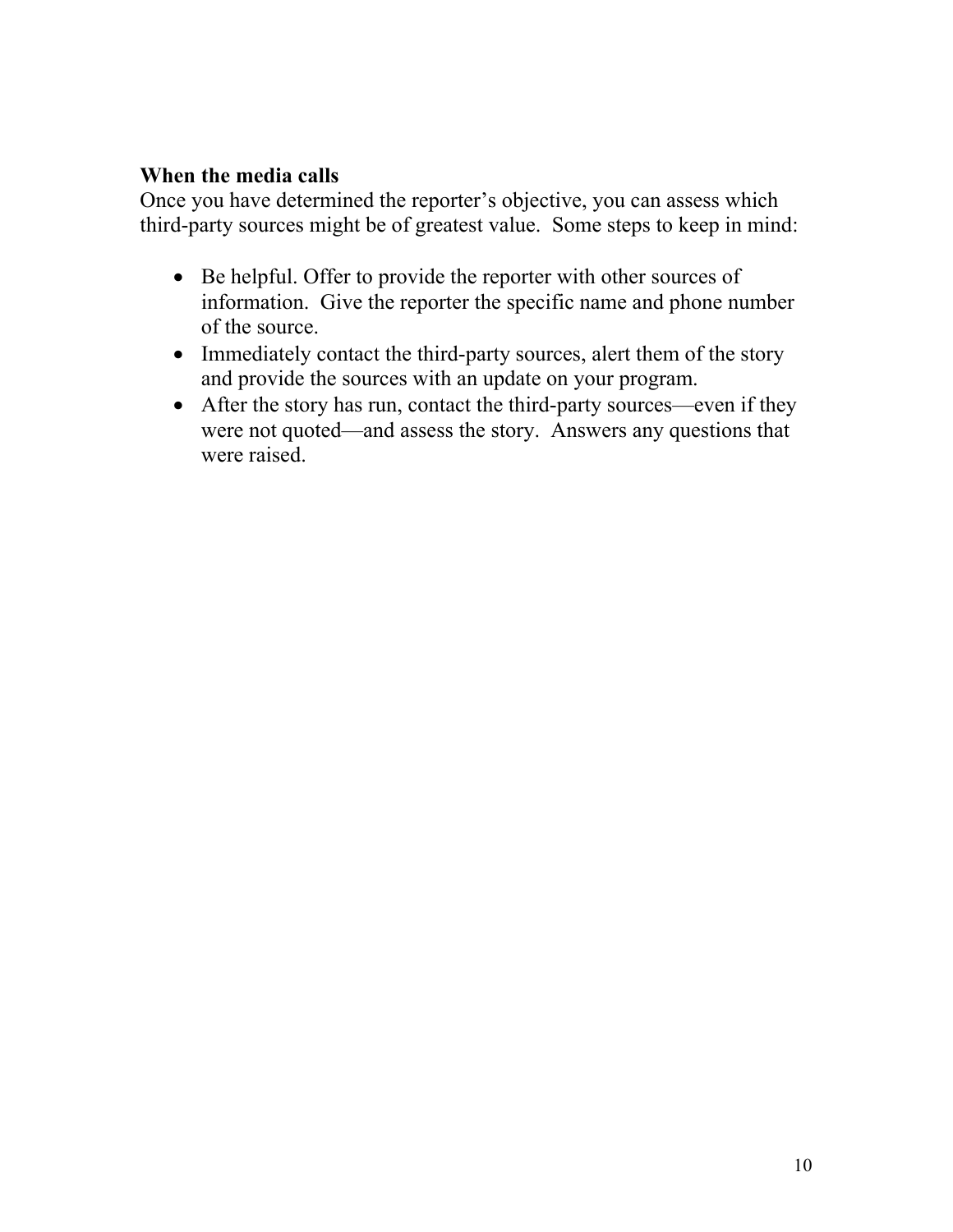#### **When the media calls**

Once you have determined the reporter's objective, you can assess which third-party sources might be of greatest value. Some steps to keep in mind:

- Be helpful. Offer to provide the reporter with other sources of information. Give the reporter the specific name and phone number of the source.
- Immediately contact the third-party sources, alert them of the story and provide the sources with an update on your program.
- After the story has run, contact the third-party sources—even if they were not quoted—and assess the story. Answers any questions that were raised.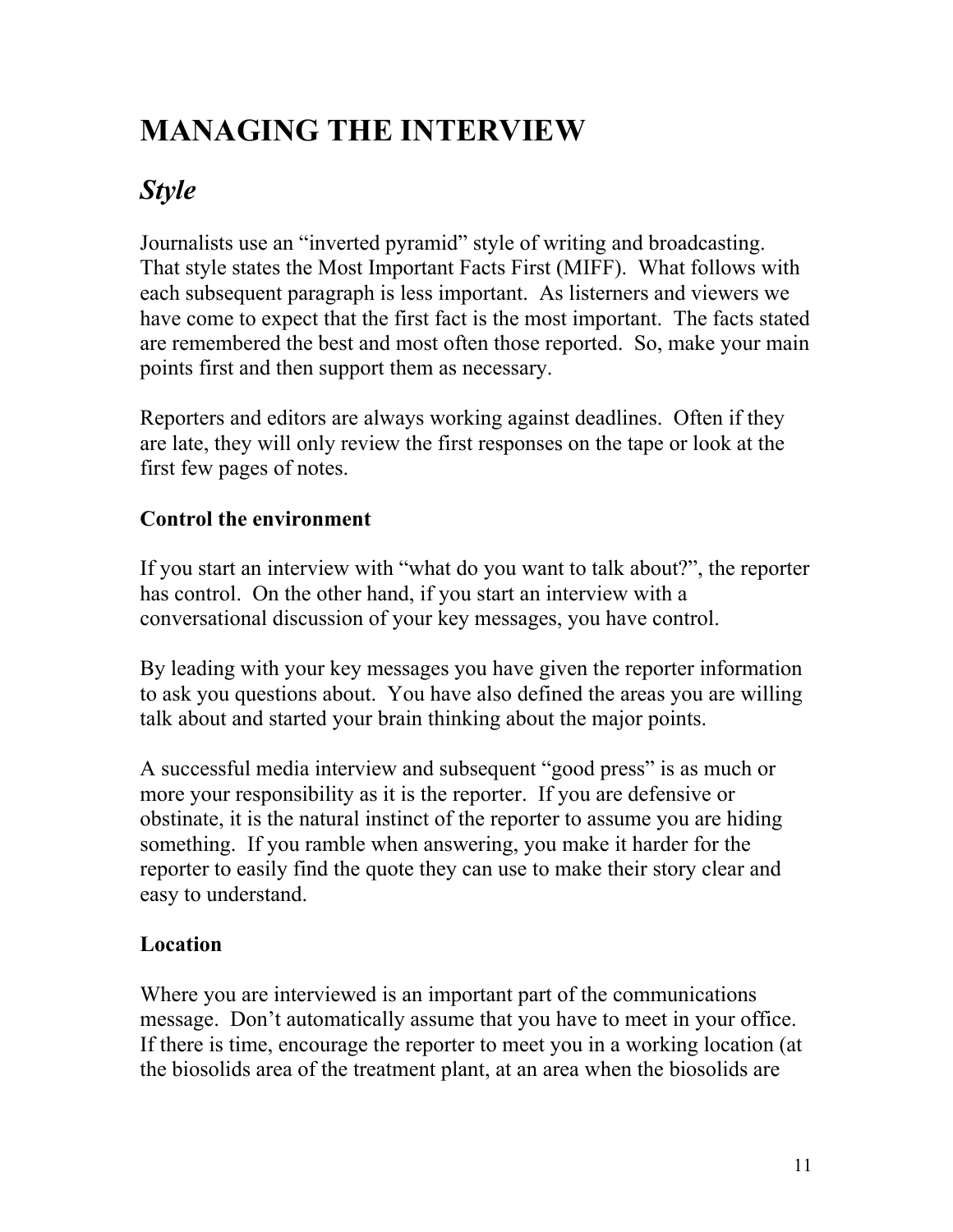# **MANAGING THE INTERVIEW**

# *Style*

Journalists use an "inverted pyramid" style of writing and broadcasting. That style states the Most Important Facts First (MIFF). What follows with each subsequent paragraph is less important. As listerners and viewers we have come to expect that the first fact is the most important. The facts stated are remembered the best and most often those reported. So, make your main points first and then support them as necessary.

Reporters and editors are always working against deadlines. Often if they are late, they will only review the first responses on the tape or look at the first few pages of notes.

#### **Control the environment**

If you start an interview with "what do you want to talk about?", the reporter has control. On the other hand, if you start an interview with a conversational discussion of your key messages, you have control.

By leading with your key messages you have given the reporter information to ask you questions about. You have also defined the areas you are willing talk about and started your brain thinking about the major points.

A successful media interview and subsequent "good press" is as much or more your responsibility as it is the reporter. If you are defensive or obstinate, it is the natural instinct of the reporter to assume you are hiding something. If you ramble when answering, you make it harder for the reporter to easily find the quote they can use to make their story clear and easy to understand.

#### **Location**

Where you are interviewed is an important part of the communications message. Don't automatically assume that you have to meet in your office. If there is time, encourage the reporter to meet you in a working location (at the biosolids area of the treatment plant, at an area when the biosolids are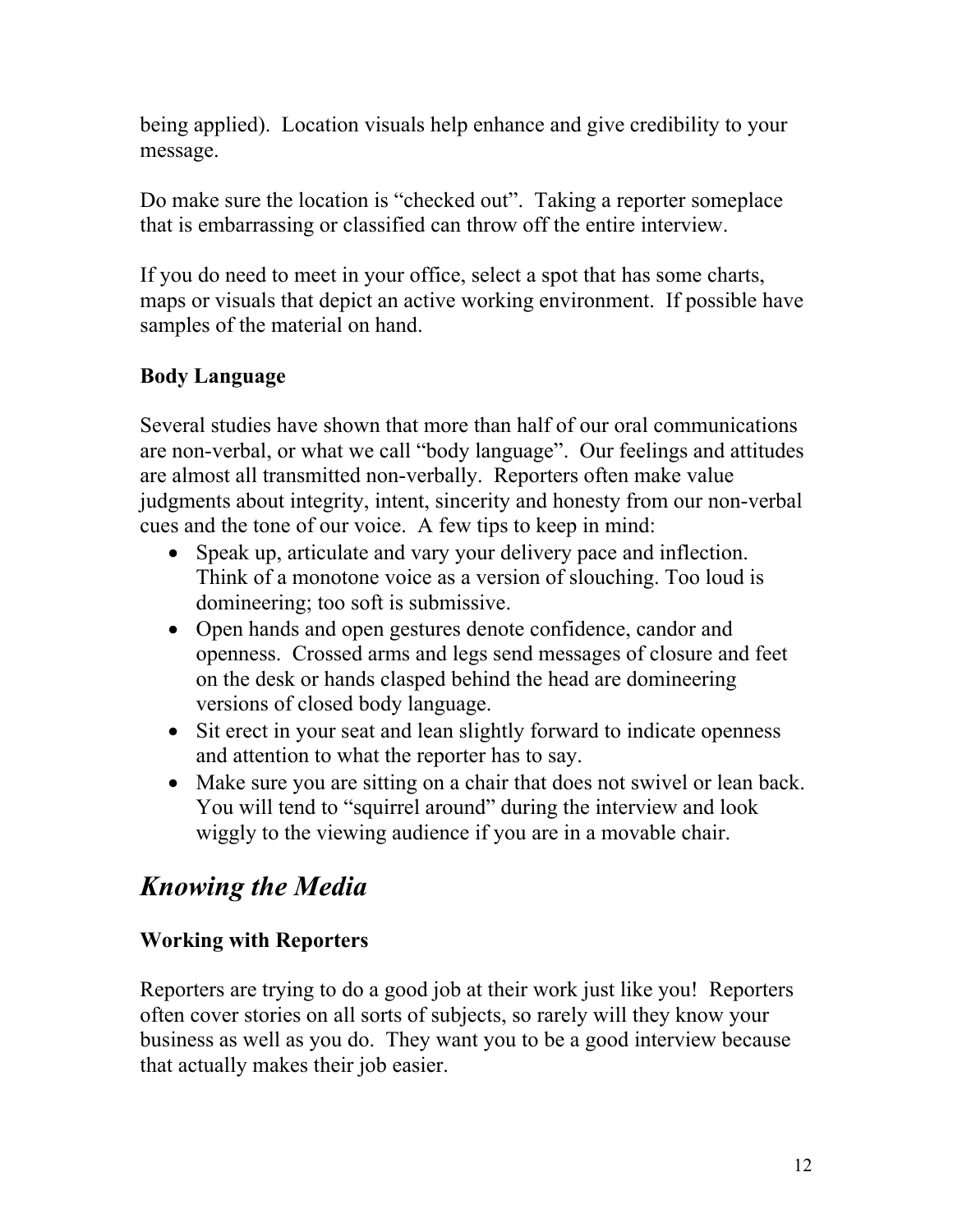being applied). Location visuals help enhance and give credibility to your message.

Do make sure the location is "checked out". Taking a reporter someplace that is embarrassing or classified can throw off the entire interview.

If you do need to meet in your office, select a spot that has some charts, maps or visuals that depict an active working environment. If possible have samples of the material on hand.

#### **Body Language**

Several studies have shown that more than half of our oral communications are non-verbal, or what we call "body language". Our feelings and attitudes are almost all transmitted non-verbally. Reporters often make value judgments about integrity, intent, sincerity and honesty from our non-verbal cues and the tone of our voice. A few tips to keep in mind:

- Speak up, articulate and vary your delivery pace and inflection. Think of a monotone voice as a version of slouching. Too loud is domineering; too soft is submissive.
- Open hands and open gestures denote confidence, candor and openness. Crossed arms and legs send messages of closure and feet on the desk or hands clasped behind the head are domineering versions of closed body language.
- Sit erect in your seat and lean slightly forward to indicate openness and attention to what the reporter has to say.
- Make sure you are sitting on a chair that does not swivel or lean back. You will tend to "squirrel around" during the interview and look wiggly to the viewing audience if you are in a movable chair.

### *Knowing the Media*

#### **Working with Reporters**

Reporters are trying to do a good job at their work just like you! Reporters often cover stories on all sorts of subjects, so rarely will they know your business as well as you do. They want you to be a good interview because that actually makes their job easier.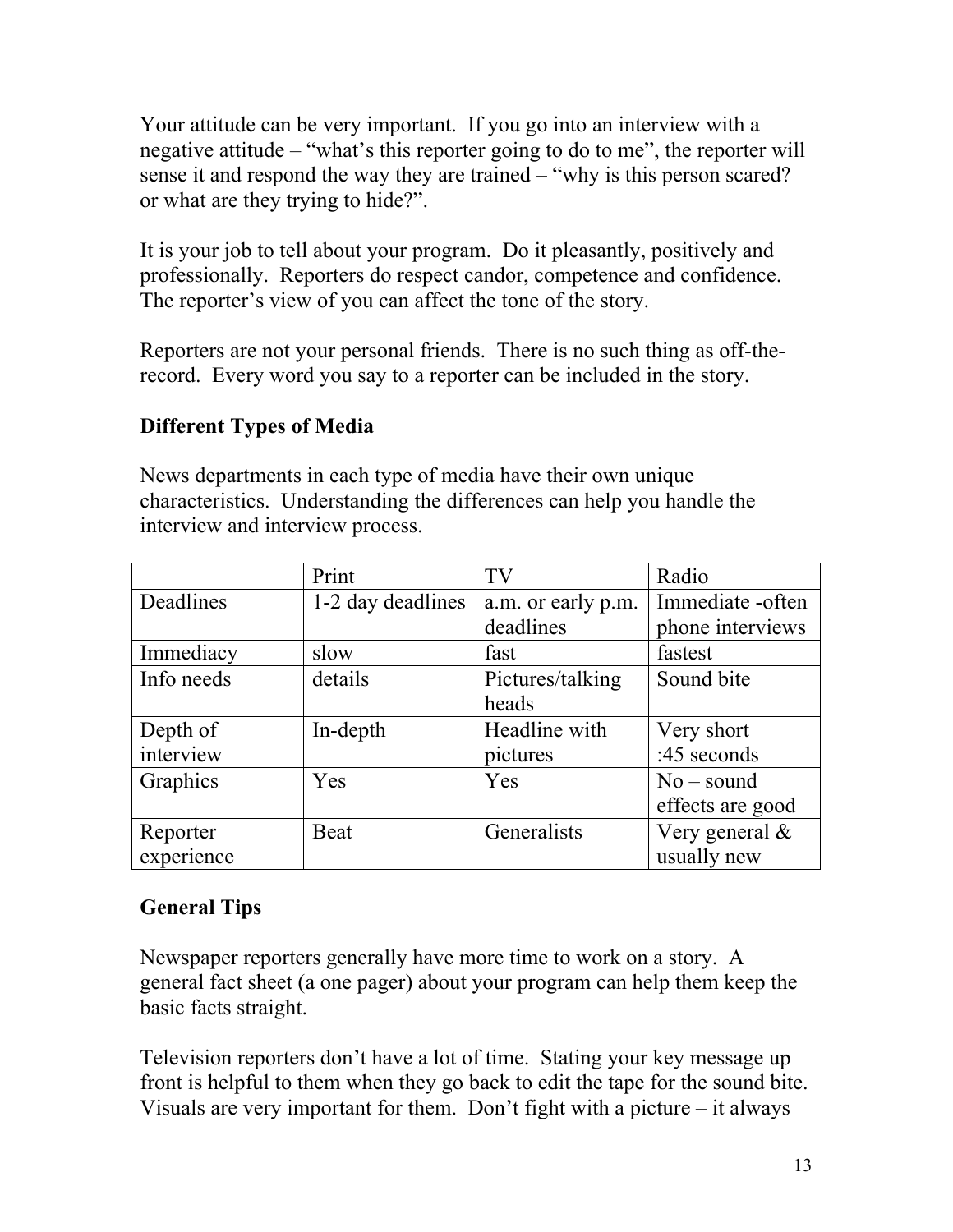Your attitude can be very important. If you go into an interview with a negative attitude – "what's this reporter going to do to me", the reporter will sense it and respond the way they are trained – "why is this person scared? or what are they trying to hide?".

It is your job to tell about your program. Do it pleasantly, positively and professionally. Reporters do respect candor, competence and confidence. The reporter's view of you can affect the tone of the story.

Reporters are not your personal friends. There is no such thing as off-therecord. Every word you say to a reporter can be included in the story.

#### **Different Types of Media**

News departments in each type of media have their own unique characteristics. Understanding the differences can help you handle the interview and interview process.

|            | Print             | TV                 | Radio             |
|------------|-------------------|--------------------|-------------------|
| Deadlines  | 1-2 day deadlines | a.m. or early p.m. | Immediate -often  |
|            |                   | deadlines          | phone interviews  |
| Immediacy  | slow              | fast               | fastest           |
| Info needs | details           | Pictures/talking   | Sound bite        |
|            |                   | heads              |                   |
| Depth of   | In-depth          | Headline with      | Very short        |
| interview  |                   | pictures           | :45 seconds       |
| Graphics   | Yes               | Yes                | $No - sound$      |
|            |                   |                    | effects are good  |
| Reporter   | <b>Beat</b>       | Generalists        | Very general $\&$ |
| experience |                   |                    | usually new       |

#### **General Tips**

Newspaper reporters generally have more time to work on a story. A general fact sheet (a one pager) about your program can help them keep the basic facts straight.

Television reporters don't have a lot of time. Stating your key message up front is helpful to them when they go back to edit the tape for the sound bite. Visuals are very important for them. Don't fight with a picture – it always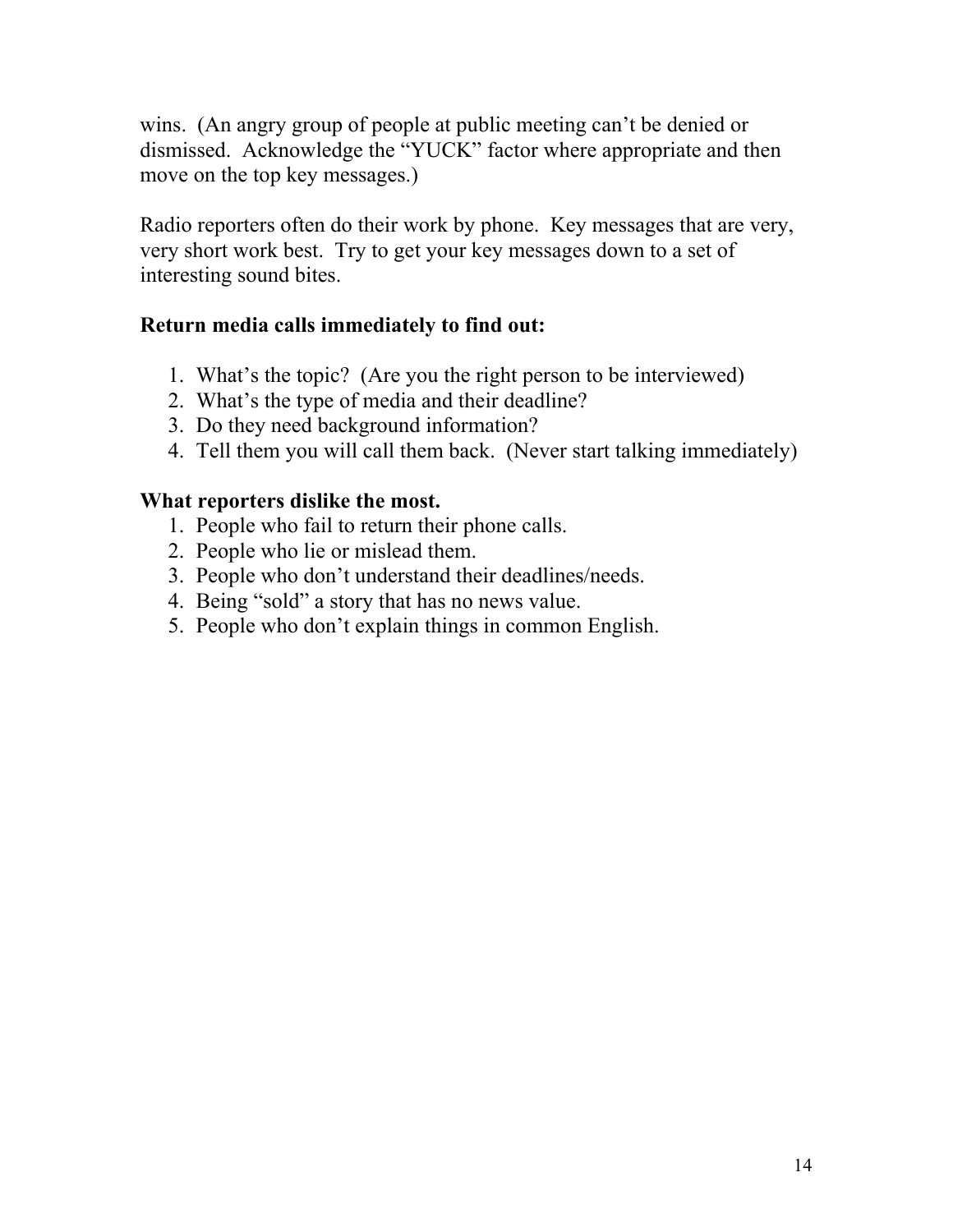wins. (An angry group of people at public meeting can't be denied or dismissed. Acknowledge the "YUCK" factor where appropriate and then move on the top key messages.)

Radio reporters often do their work by phone. Key messages that are very, very short work best. Try to get your key messages down to a set of interesting sound bites.

#### **Return media calls immediately to find out:**

- 1. What's the topic? (Are you the right person to be interviewed)
- 2. What's the type of media and their deadline?
- 3. Do they need background information?
- 4. Tell them you will call them back. (Never start talking immediately)

#### **What reporters dislike the most.**

- 1. People who fail to return their phone calls.
- 2. People who lie or mislead them.
- 3. People who don't understand their deadlines/needs.
- 4. Being "sold" a story that has no news value.
- 5. People who don't explain things in common English.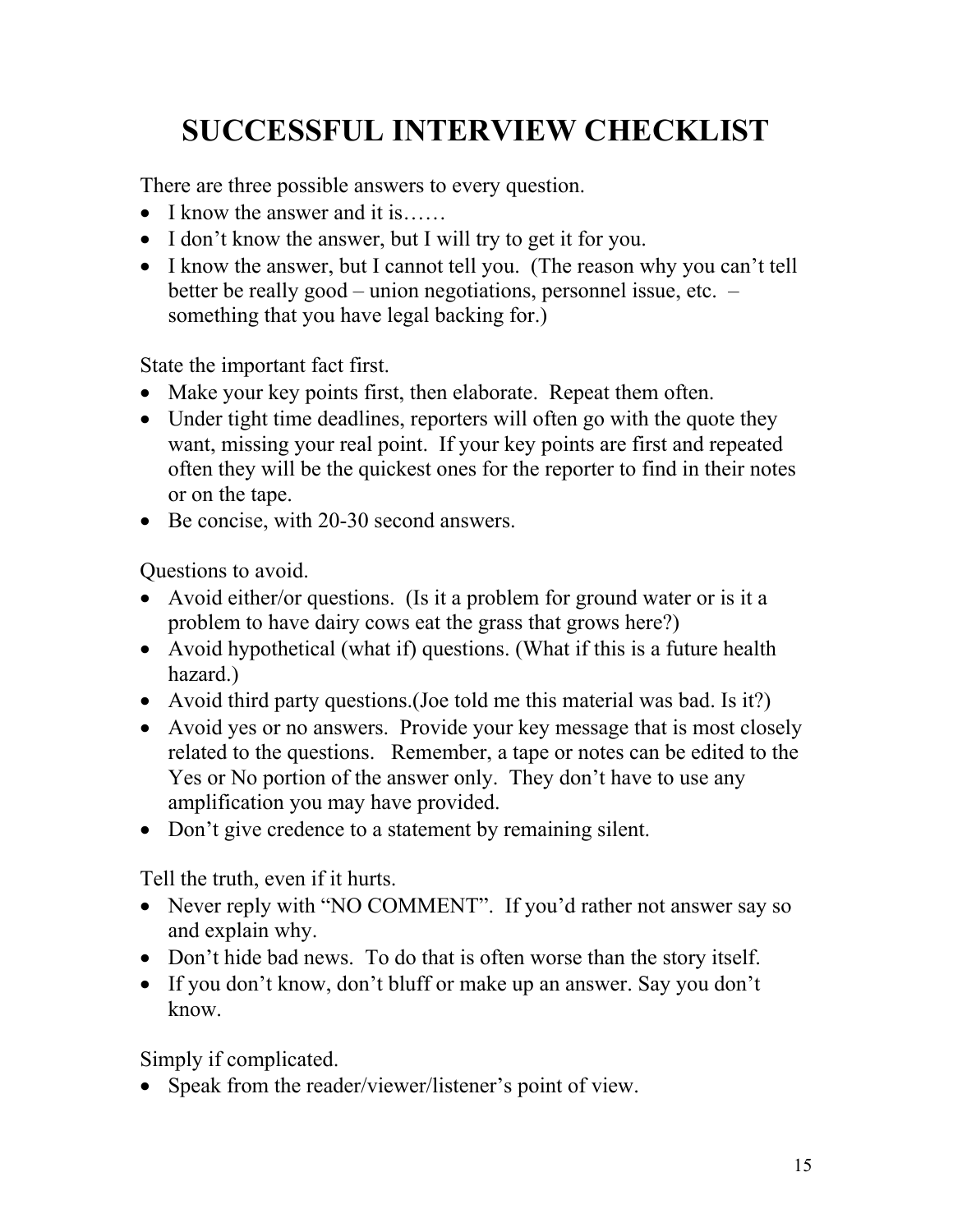# **SUCCESSFUL INTERVIEW CHECKLIST**

There are three possible answers to every question.

- I know the answer and it is……
- I don't know the answer, but I will try to get it for you.
- I know the answer, but I cannot tell you. (The reason why you can't tell better be really good – union negotiations, personnel issue, etc. – something that you have legal backing for.)

State the important fact first.

- Make your key points first, then elaborate. Repeat them often.
- Under tight time deadlines, reporters will often go with the quote they want, missing your real point. If your key points are first and repeated often they will be the quickest ones for the reporter to find in their notes or on the tape.
- Be concise, with 20-30 second answers.

Questions to avoid.

- Avoid either/or questions. (Is it a problem for ground water or is it a problem to have dairy cows eat the grass that grows here?)
- Avoid hypothetical (what if) questions. (What if this is a future health hazard.)
- Avoid third party questions. (Joe told me this material was bad. Is it?)
- Avoid yes or no answers. Provide your key message that is most closely related to the questions. Remember, a tape or notes can be edited to the Yes or No portion of the answer only. They don't have to use any amplification you may have provided.
- Don't give credence to a statement by remaining silent.

Tell the truth, even if it hurts.

- Never reply with "NO COMMENT". If you'd rather not answer say so and explain why.
- Don't hide bad news. To do that is often worse than the story itself.
- If you don't know, don't bluff or make up an answer. Say you don't know.

Simply if complicated.

• Speak from the reader/viewer/listener's point of view.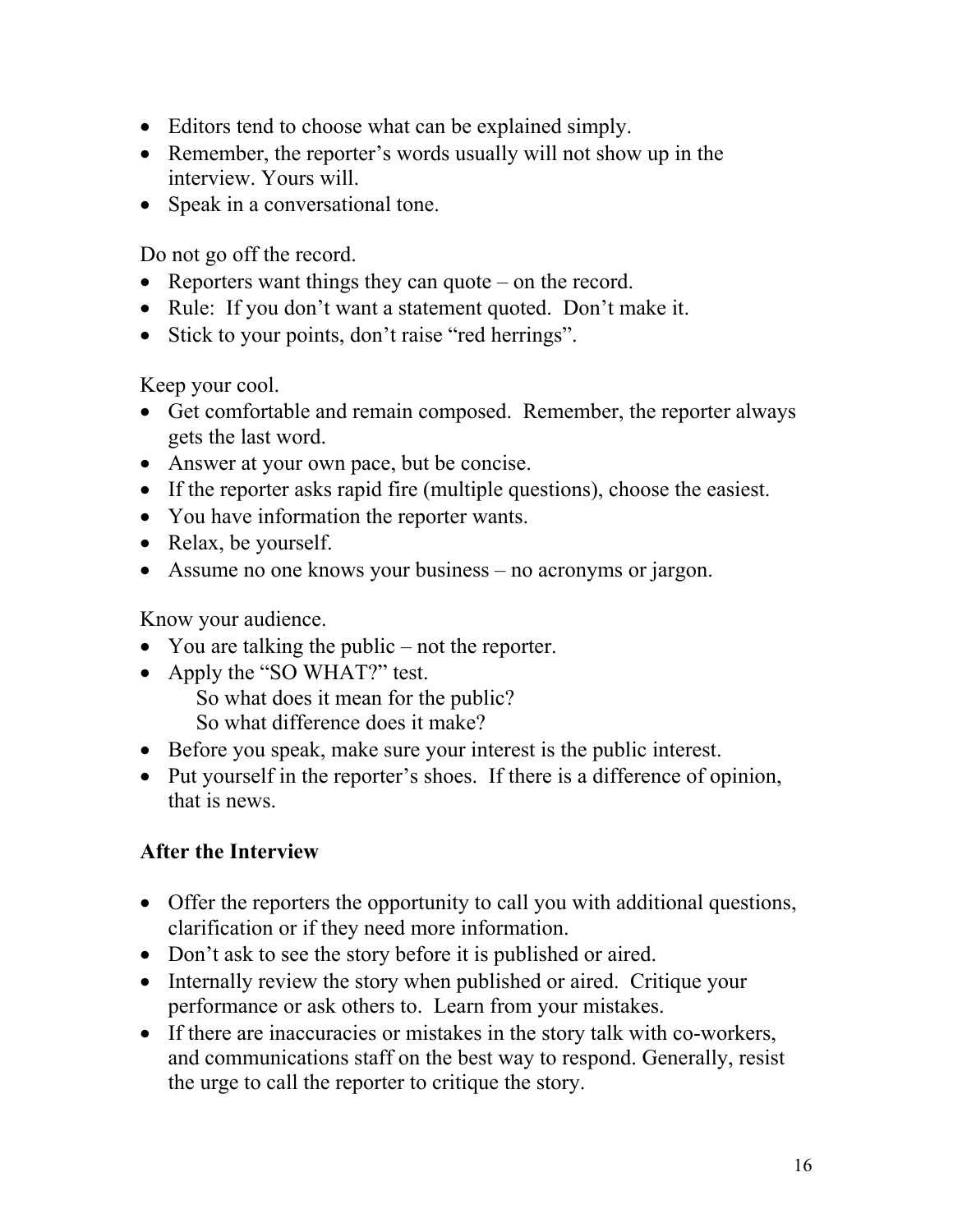- Editors tend to choose what can be explained simply.
- Remember, the reporter's words usually will not show up in the interview. Yours will.
- Speak in a conversational tone.

Do not go off the record.

- Reporters want things they can quote on the record.
- Rule: If you don't want a statement quoted. Don't make it.
- Stick to your points, don't raise "red herrings".

Keep your cool.

- Get comfortable and remain composed. Remember, the reporter always gets the last word.
- Answer at your own pace, but be concise.
- If the reporter asks rapid fire (multiple questions), choose the easiest.
- You have information the reporter wants.
- Relax, be yourself.
- Assume no one knows your business no acronyms or jargon.

Know your audience.

- You are talking the public not the reporter.
- Apply the "SO WHAT?" test. So what does it mean for the public? So what difference does it make?
- Before you speak, make sure your interest is the public interest.
- Put yourself in the reporter's shoes. If there is a difference of opinion, that is news.

#### **After the Interview**

- Offer the reporters the opportunity to call you with additional questions, clarification or if they need more information.
- Don't ask to see the story before it is published or aired.
- Internally review the story when published or aired. Critique your performance or ask others to. Learn from your mistakes.
- If there are inaccuracies or mistakes in the story talk with co-workers, and communications staff on the best way to respond. Generally, resist the urge to call the reporter to critique the story.